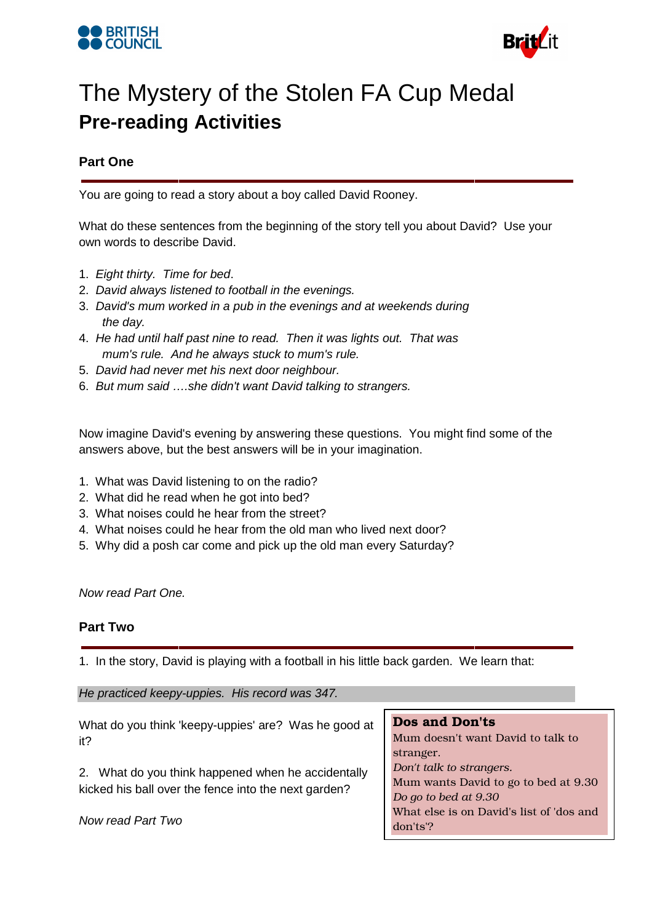



## The Mystery of the Stolen FA Cup Medal **Pre-reading Activities**

## **Part One**

You are going to read a story about a boy called David Rooney.

What do these sentences from the beginning of the story tell you about David? Use your own words to describe David.

- 1. Eight thirty. Time for bed.
- 2. David always listened to football in the evenings.
- 3. David's mum worked in a pub in the evenings and at weekends during the day.
- 4. He had until half past nine to read. Then it was lights out. That was mum's rule. And he always stuck to mum's rule.
- 5. David had never met his next door neighbour.
- 6. But mum said ….she didn't want David talking to strangers.

Now imagine David's evening by answering these questions. You might find some of the answers above, but the best answers will be in your imagination.

- 1. What was David listening to on the radio?
- 2. What did he read when he got into bed?
- 3. What noises could he hear from the street?
- 4. What noises could he hear from the old man who lived next door?
- 5. Why did a posh car come and pick up the old man every Saturday?

Now read Part One.

### **Part Two**

1. In the story, David is playing with a football in his little back garden. We learn that:

He practiced keepy-uppies. His record was 347.

| What do you think 'keepy-uppies' are? Was he good at                                                       | <b>Dos and Don'ts</b>                    |
|------------------------------------------------------------------------------------------------------------|------------------------------------------|
| it?                                                                                                        | Mum doesn't want David to talk to        |
|                                                                                                            | stranger.                                |
| 2. What do you think happened when he accidentally<br>kicked his ball over the fence into the next garden? | Don't talk to strangers.                 |
|                                                                                                            | Mum wants David to go to bed at 9.30     |
|                                                                                                            | Do go to bed at 9.30                     |
| Now read Part Two                                                                                          | What else is on David's list of 'dos and |
|                                                                                                            | don'ts'?                                 |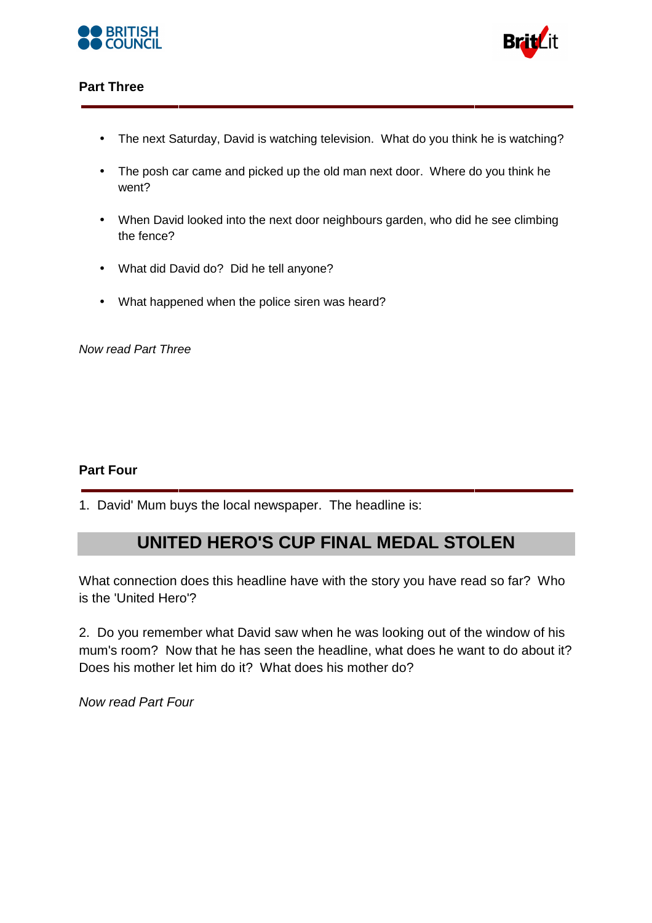



## **Part Three**

- The next Saturday, David is watching television. What do you think he is watching?
- The posh car came and picked up the old man next door. Where do you think he went?
- When David looked into the next door neighbours garden, who did he see climbing the fence?
- What did David do? Did he tell anyone?
- What happened when the police siren was heard?

Now read Part Three

### **Part Four**

1. David' Mum buys the local newspaper. The headline is:

## **UNITED HERO'S CUP FINAL MEDAL STOLEN**

What connection does this headline have with the story you have read so far? Who is the 'United Hero'?

2. Do you remember what David saw when he was looking out of the window of his mum's room? Now that he has seen the headline, what does he want to do about it? Does his mother let him do it? What does his mother do?

Now read Part Four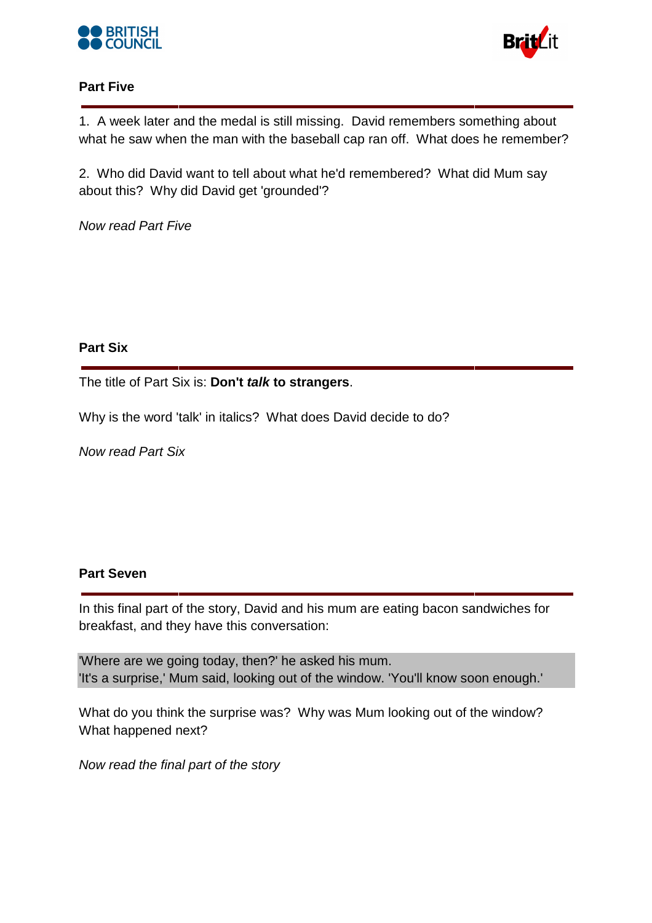



## **Part Five**

1. A week later and the medal is still missing. David remembers something about what he saw when the man with the baseball cap ran off. What does he remember?

2. Who did David want to tell about what he'd remembered? What did Mum say about this? Why did David get 'grounded'?

Now read Part Five

## **Part Six**

The title of Part Six is: **Don't talk to strangers**.

Why is the word 'talk' in italics? What does David decide to do?

Now read Part Six

## **Part Seven**

In this final part of the story, David and his mum are eating bacon sandwiches for breakfast, and they have this conversation:

'Where are we going today, then?' he asked his mum. 'It's a surprise,' Mum said, looking out of the window. 'You'll know soon enough.'

What do you think the surprise was? Why was Mum looking out of the window? What happened next?

Now read the final part of the story